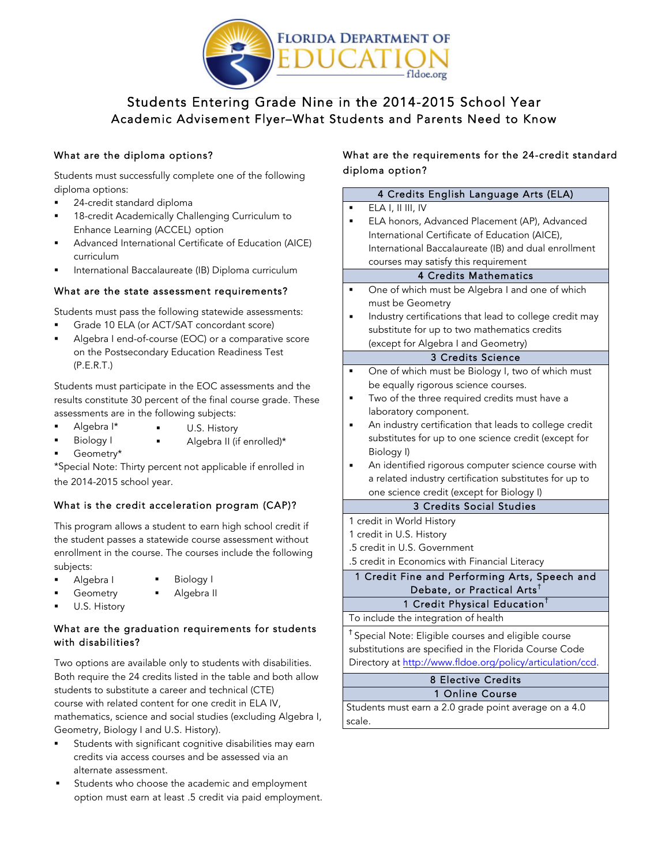

## \ Academic Advisement Flyer–What Students and Parents Need to Know Students Entering Grade Nine in the 2014-2015 School Year

## What are the diploma options?

 Students must successfully complete one of the following diploma options:

- **24-credit standard diploma**
- **18-credit Academically Challenging Curriculum to** Enhance Learning (ACCEL) option
- ! Advanced International Certificate of Education (AICE) curriculum
- **I** International Baccalaureate (IB) Diploma curriculum

### What are the state assessment requirements?

Students must pass the following statewide assessments:

- ! Grade 10 ELA (or ACT/SAT concordant score)
- ! Algebra I end-of-course (EOC) or a comparative score on the Postsecondary Education Readiness Test (P.E.R.T.)

 Students must participate in the EOC assessments and the results constitute 30 percent of the final course grade. These assessments are in the following subjects:

- Algebra I\* U.S. History
- Biology I **I** Algebra II (if enrolled)\*
	- Geometry\*

**"** Geometry\*<br>\*Special Note: Thirty percent not applicable if enrolled in the 2014-2015 school year.

### What is the credit acceleration program (CAP)?

 This program allows a student to earn high school credit if the student passes a statewide course assessment without enrollment in the course. The courses include the following subjects:

- Algebra I · · · · Biology I
	- Geometry **I** Algebra II
- U.S. History

## What are the graduation requirements for students with disabilities?

 Both require the 24 credits listed in the table and both allow students to substitute a career and technical (CTE) course with related content for one credit in ELA IV, mathematics, science and social studies (excluding Algebra I, Geometry, Biology I and U.S. History). Two options are available only to students with disabilities.

- **IX8** Students with significant cognitive disabilities may earn credits via access courses and be assessed via an alternate assessment.
- **EXECO STANDER** Students who choose the academic and employment option must earn at least .5 credit via paid employment.

## What are the requirements for the 24-credit standard diploma option?

| 4 Credits English Language Arts (ELA)                           |
|-----------------------------------------------------------------|
| ELA I, II III, IV                                               |
| ELA honors, Advanced Placement (AP), Advanced                   |
| International Certificate of Education (AICE),                  |
| International Baccalaureate (IB) and dual enrollment            |
| courses may satisfy this requirement                            |
| <b>4 Credits Mathematics</b>                                    |
| One of which must be Algebra I and one of which                 |
| must be Geometry                                                |
| Industry certifications that lead to college credit may         |
| substitute for up to two mathematics credits                    |
| (except for Algebra I and Geometry)                             |
| 3 Credits Science                                               |
| One of which must be Biology I, two of which must               |
| be equally rigorous science courses.                            |
| Two of the three required credits must have a                   |
| laboratory component.                                           |
| An industry certification that leads to college credit          |
| substitutes for up to one science credit (except for            |
| Biology I)                                                      |
| An identified rigorous computer science course with             |
| a related industry certification substitutes for up to          |
| one science credit (except for Biology I)                       |
| 3 Credits Social Studies                                        |
| 1 credit in World History                                       |
| 1 credit in U.S. History                                        |
| .5 credit in U.S. Government                                    |
| .5 credit in Economics with Financial Literacy                  |
| 1 Credit Fine and Performing Arts, Speech and                   |
| Debate, or Practical Arts <sup>t</sup>                          |
| 1 Credit Physical Education <sup>t</sup>                        |
| To include the integration of health                            |
| <sup>†</sup> Special Note: Eligible courses and eligible course |
| substitutions are specified in the Florida Course Code          |
| Directory at http://www.fldoe.org/policy/articulation/ccd.      |
| <b>8 Elective Credits</b>                                       |
| 1 Online Course                                                 |
| Students must earn a 2.0 grade point average on a 4.0           |
| scale.                                                          |